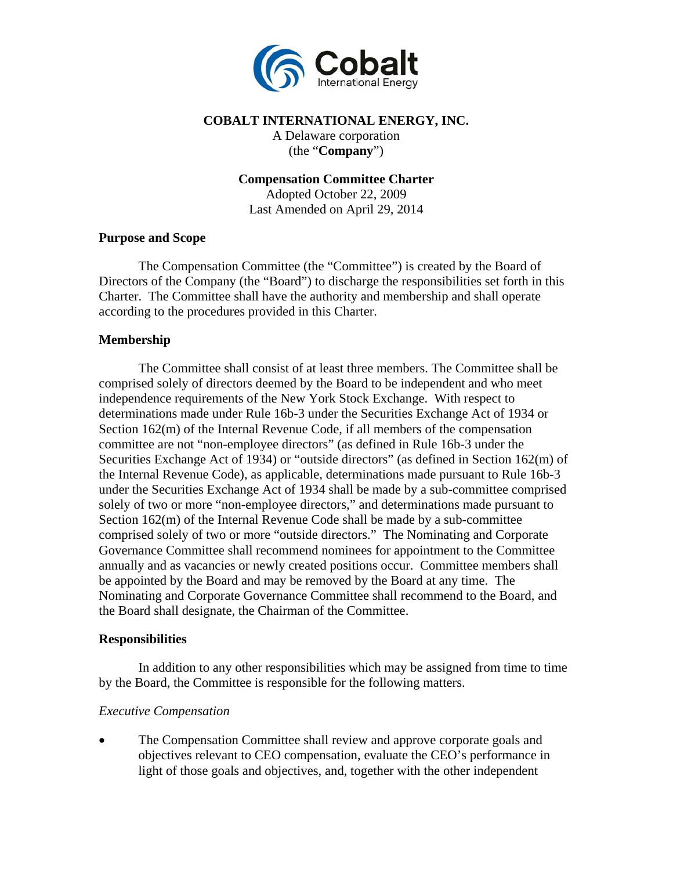

#### **COBALT INTERNATIONAL ENERGY, INC.**

A Delaware corporation (the "**Company**")

**Compensation Committee Charter**

Adopted October 22, 2009 Last Amended on April 29, 2014

#### **Purpose and Scope**

The Compensation Committee (the "Committee") is created by the Board of Directors of the Company (the "Board") to discharge the responsibilities set forth in this Charter. The Committee shall have the authority and membership and shall operate according to the procedures provided in this Charter.

## **Membership**

The Committee shall consist of at least three members. The Committee shall be comprised solely of directors deemed by the Board to be independent and who meet independence requirements of the New York Stock Exchange. With respect to determinations made under Rule 16b-3 under the Securities Exchange Act of 1934 or Section 162(m) of the Internal Revenue Code, if all members of the compensation committee are not "non-employee directors" (as defined in Rule 16b-3 under the Securities Exchange Act of 1934) or "outside directors" (as defined in Section 162(m) of the Internal Revenue Code), as applicable, determinations made pursuant to Rule 16b-3 under the Securities Exchange Act of 1934 shall be made by a sub-committee comprised solely of two or more "non-employee directors," and determinations made pursuant to Section 162(m) of the Internal Revenue Code shall be made by a sub-committee comprised solely of two or more "outside directors." The Nominating and Corporate Governance Committee shall recommend nominees for appointment to the Committee annually and as vacancies or newly created positions occur. Committee members shall be appointed by the Board and may be removed by the Board at any time. The Nominating and Corporate Governance Committee shall recommend to the Board, and the Board shall designate, the Chairman of the Committee.

#### **Responsibilities**

In addition to any other responsibilities which may be assigned from time to time by the Board, the Committee is responsible for the following matters.

#### *Executive Compensation*

 The Compensation Committee shall review and approve corporate goals and objectives relevant to CEO compensation, evaluate the CEO's performance in light of those goals and objectives, and, together with the other independent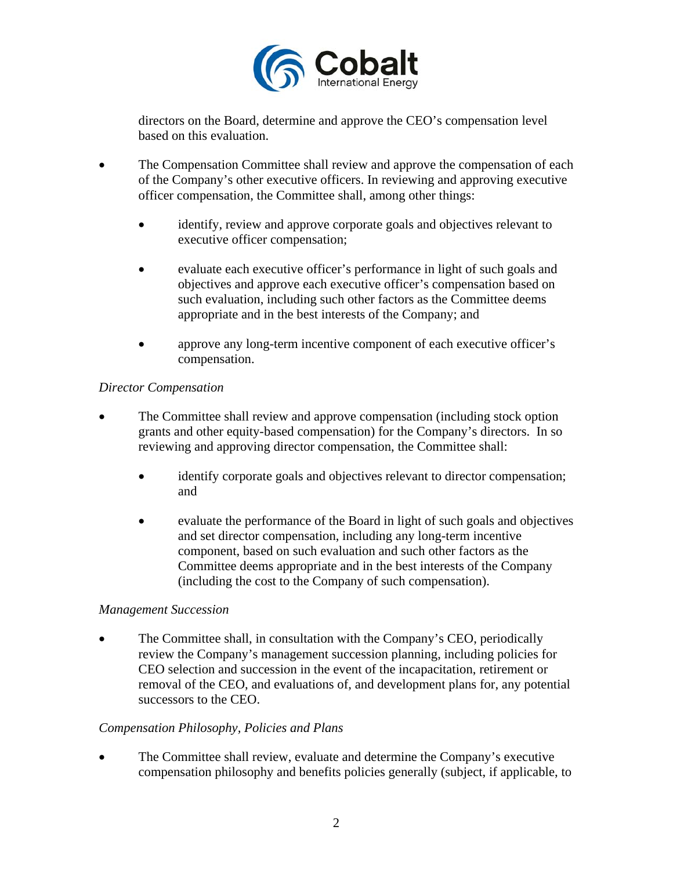

directors on the Board, determine and approve the CEO's compensation level based on this evaluation.

- The Compensation Committee shall review and approve the compensation of each of the Company's other executive officers. In reviewing and approving executive officer compensation, the Committee shall, among other things:
	- identify, review and approve corporate goals and objectives relevant to executive officer compensation;
	- evaluate each executive officer's performance in light of such goals and objectives and approve each executive officer's compensation based on such evaluation, including such other factors as the Committee deems appropriate and in the best interests of the Company; and
	- approve any long-term incentive component of each executive officer's compensation.

## *Director Compensation*

- The Committee shall review and approve compensation (including stock option grants and other equity-based compensation) for the Company's directors. In so reviewing and approving director compensation, the Committee shall:
	- identify corporate goals and objectives relevant to director compensation; and
	- evaluate the performance of the Board in light of such goals and objectives and set director compensation, including any long-term incentive component, based on such evaluation and such other factors as the Committee deems appropriate and in the best interests of the Company (including the cost to the Company of such compensation).

## *Management Succession*

 The Committee shall, in consultation with the Company's CEO, periodically review the Company's management succession planning, including policies for CEO selection and succession in the event of the incapacitation, retirement or removal of the CEO, and evaluations of, and development plans for, any potential successors to the CEO.

## *Compensation Philosophy, Policies and Plans*

 The Committee shall review, evaluate and determine the Company's executive compensation philosophy and benefits policies generally (subject, if applicable, to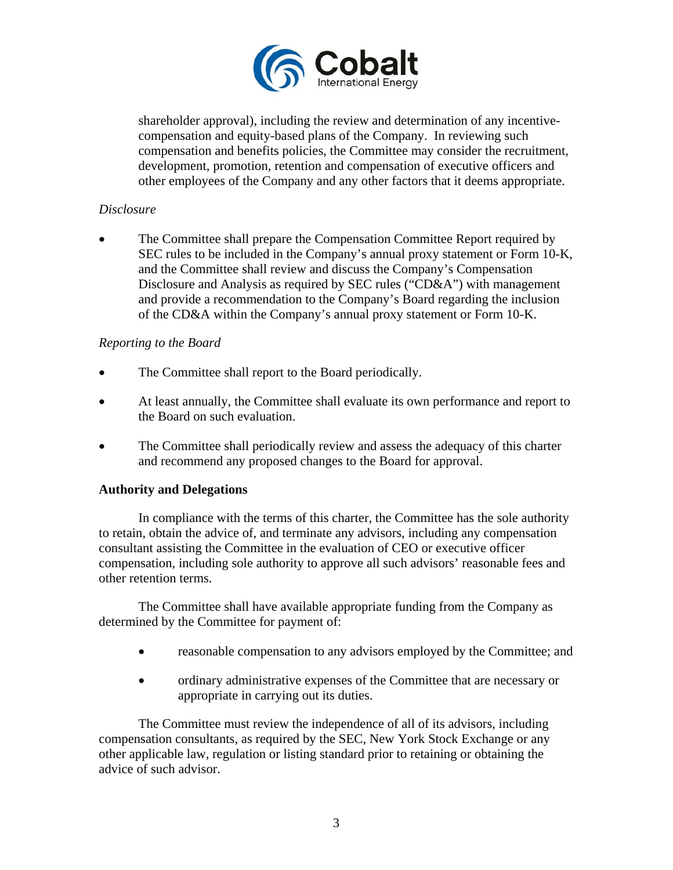

shareholder approval), including the review and determination of any incentivecompensation and equity-based plans of the Company. In reviewing such compensation and benefits policies, the Committee may consider the recruitment, development, promotion, retention and compensation of executive officers and other employees of the Company and any other factors that it deems appropriate.

# *Disclosure*

 The Committee shall prepare the Compensation Committee Report required by SEC rules to be included in the Company's annual proxy statement or Form 10-K, and the Committee shall review and discuss the Company's Compensation Disclosure and Analysis as required by SEC rules ("CD&A") with management and provide a recommendation to the Company's Board regarding the inclusion of the CD&A within the Company's annual proxy statement or Form 10-K.

## *Reporting to the Board*

- The Committee shall report to the Board periodically.
- At least annually, the Committee shall evaluate its own performance and report to the Board on such evaluation.
- The Committee shall periodically review and assess the adequacy of this charter and recommend any proposed changes to the Board for approval.

## **Authority and Delegations**

In compliance with the terms of this charter, the Committee has the sole authority to retain, obtain the advice of, and terminate any advisors, including any compensation consultant assisting the Committee in the evaluation of CEO or executive officer compensation, including sole authority to approve all such advisors' reasonable fees and other retention terms.

The Committee shall have available appropriate funding from the Company as determined by the Committee for payment of:

- reasonable compensation to any advisors employed by the Committee; and
- ordinary administrative expenses of the Committee that are necessary or appropriate in carrying out its duties.

The Committee must review the independence of all of its advisors, including compensation consultants, as required by the SEC, New York Stock Exchange or any other applicable law, regulation or listing standard prior to retaining or obtaining the advice of such advisor.